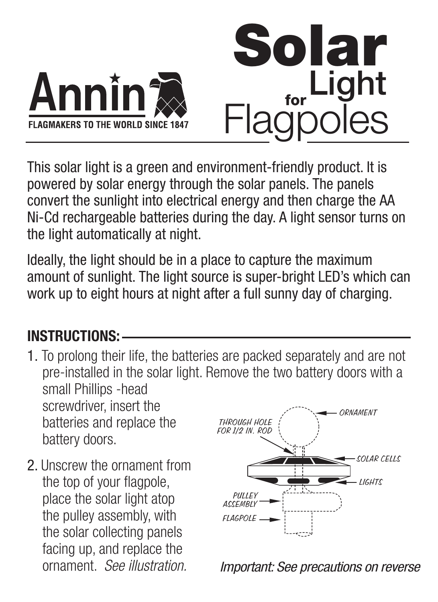

This solar light is a green and environment-friendly product. It is powered by solar energy through the solar panels. The panels convert the sunlight into electrical energy and then charge the AA Ni-Cd rechargeable batteries during the day. A light sensor turns on the light automatically at night.

Ideally, the light should be in a place to capture the maximum amount of sunlight. The light source is super-bright LED's which can work up to eight hours at night after a full sunny day of charging.

## **INSTRUCTIONS:**

- 1. To prolong their life, the batteries are packed separately and are not pre-installed in the solar light. Remove the two battery doors with a small Phillips -head screwdriver, insert the batteries and replace the battery doors. **ORNAMENT** THROUGH HOLE FOR 1/2 IN. ROD
- 2. Unscrew the ornament from the top of your flagpole, place the solar light atop the pulley assembly, with the solar collecting panels facing up, and replace the ornament. See illustration.



Important: See precautions on reverse